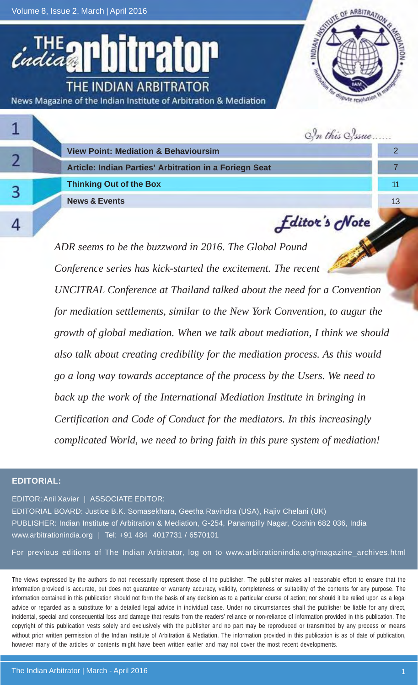Volume 8, Issue 2, March | April 2016

**rator** THE INDIAN ARBITRATOR News Magazine of the Indian Institute of Arbitration & Mediation



|  | In this Sysue                                          |    |
|--|--------------------------------------------------------|----|
|  | <b>View Point: Mediation &amp; Behavioursim</b>        | ⌒  |
|  | Article: Indian Parties' Arbitration in a Foriegn Seat |    |
|  | <b>Thinking Out of the Box</b>                         | 11 |
|  | <b>News &amp; Events</b>                               | 13 |
|  | <b><i><u>Editor's</u></i></b> Note                     |    |

*ADR seems to be the buzzword in 2016. The Global Pound Conference series has kick-started the excitement. The recent UNCITRAL Conference at Thailand talked about the need for a Convention for mediation settlements, similar to the New York Convention, to augur the growth of global mediation. When we talk about mediation, I think we should also talk about creating credibility for the mediation process. As this would go a long way towards acceptance of the process by the Users. We need to back up the work of the International Mediation Institute in bringing in Certification and Code of Conduct for the mediators. In this increasingly complicated World, we need to bring faith in this pure system of mediation!*

#### **EDITORIAL:**

EDITOR: Anil Xavier | ASSOCIATE EDITOR: EDITORIAL BOARD: Justice B.K. Somasekhara, Geetha Ravindra (USA), Rajiv Chelani (UK) PUBLISHER: Indian Institute of Arbitration & Mediation, G-254, Panampilly Nagar, Cochin 682 036, India www.arbitrationindia.org | Tel: +91 484 4017731 / 6570101

For previous editions of The Indian Arbitrator, log on to www.arbitrationindia.org/magazine\_archives.html

The views expressed by the authors do not necessarily represent those of the publisher. The publisher makes all reasonable effort to ensure that the information provided is accurate, but does not guarantee or warranty accuracy, validity, completeness or suitability of the contents for any purpose. The information contained in this publication should not form the basis of any decision as to a particular course of action; nor should it be relied upon as a legal advice or regarded as a substitute for a detailed legal advice in individual case. Under no circumstances shall the publisher be liable for any direct, incidental, special and consequential loss and damage that results from the readers' reliance or non-reliance of information provided in this publication. The copyright of this publication vests solely and exclusively with the publisher and no part may be reproduced or transmitted by any process or means without prior written permission of the Indian Institute of Arbitration & Mediation. The information provided in this publication is as of date of publication, however many of the articles or contents might have been written earlier and may not cover the most recent developments.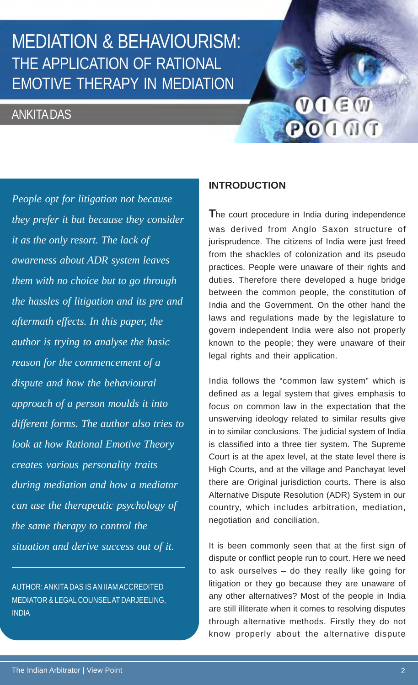### MEDIATION & BEHAVIOURISM: THE APPLICATION OF RATIONAL EMOTIVE THERAPY IN MEDIATION

### ANKITA DAS

VIEW **POIMT** 

*People opt for litigation not because they prefer it but because they consider it as the only resort. The lack of awareness about ADR system leaves them with no choice but to go through the hassles of litigation and its pre and aftermath effects. In this paper, the author is trying to analyse the basic reason for the commencement of a dispute and how the behavioural approach of a person moulds it into different forms. The author also tries to look at how Rational Emotive Theory creates various personality traits during mediation and how a mediator can use the therapeutic psychology of the same therapy to control the situation and derive success out of it.*

AUTHOR: ANKITA DAS IS AN IIAM ACCREDITED MEDIATOR & LEGAL COUNSEL AT DARJEELING, INDIA

#### **INTRODUCTION**

The court procedure in India during independence was derived from Anglo Saxon structure of jurisprudence. The citizens of India were just freed from the shackles of colonization and its pseudo practices. People were unaware of their rights and duties. Therefore there developed a huge bridge between the common people, the constitution of India and the Government. On the other hand the laws and regulations made by the legislature to govern independent India were also not properly known to the people; they were unaware of their legal rights and their application.

India follows the "common law system" which is defined as a legal system that gives emphasis to focus on common law in the expectation that the unswerving ideology related to similar results give in to similar conclusions. The judicial system of India is classified into a three tier system. The Supreme Court is at the apex level, at the state level there is High Courts, and at the village and Panchayat level there are Original jurisdiction courts. There is also Alternative Dispute Resolution (ADR) System in our country, which includes arbitration, mediation, negotiation and conciliation.

It is been commonly seen that at the first sign of dispute or conflict people run to court. Here we need to ask ourselves – do they really like going for litigation or they go because they are unaware of any other alternatives? Most of the people in India are still illiterate when it comes to resolving disputes through alternative methods. Firstly they do not know properly about the alternative dispute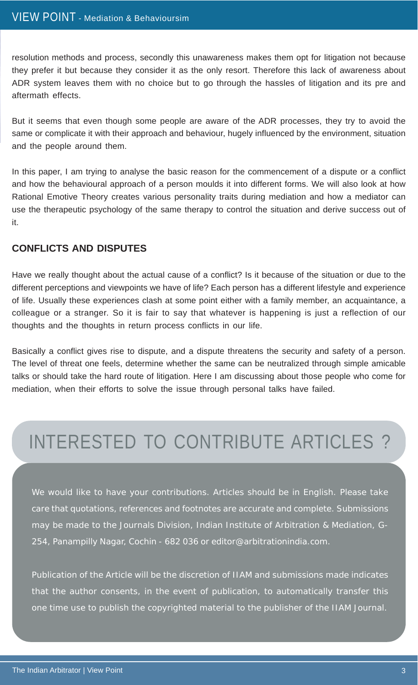resolution methods and process, secondly this unawareness makes them opt for litigation not because they prefer it but because they consider it as the only resort. Therefore this lack of awareness about ADR system leaves them with no choice but to go through the hassles of litigation and its pre and aftermath effects.

But it seems that even though some people are aware of the ADR processes, they try to avoid the same or complicate it with their approach and behaviour, hugely influenced by the environment, situation and the people around them.

In this paper, I am trying to analyse the basic reason for the commencement of a dispute or a conflict and how the behavioural approach of a person moulds it into different forms. We will also look at how Rational Emotive Theory creates various personality traits during mediation and how a mediator can use the therapeutic psychology of the same therapy to control the situation and derive success out of it.

### **CONFLICTS AND DISPUTES**

Have we really thought about the actual cause of a conflict? Is it because of the situation or due to the different perceptions and viewpoints we have of life? Each person has a different lifestyle and experience of life. Usually these experiences clash at some point either with a family member, an acquaintance, a colleague or a stranger. So it is fair to say that whatever is happening is just a reflection of our thoughts and the thoughts in return process conflicts in our life.

Basically a conflict gives rise to dispute, and a dispute threatens the security and safety of a person. The level of threat one feels, determine whether the same can be neutralized through simple amicable talks or should take the hard route of litigation. Here I am discussing about those people who come for mediation, when their efforts to solve the issue through personal talks have failed.

# INTERESTED TO CONTRIBUTE ARTICLES ?

We would like to have your contributions. Articles should be in English. Please take care that quotations, references and footnotes are accurate and complete. Submissions may be made to the Journals Division, Indian Institute of Arbitration & Mediation, G-254, Panampilly Nagar, Cochin - 682 036 or editor@arbitrationindia.com.

Publication of the Article will be the discretion of IIAM and submissions made indicates that the author consents, in the event of publication, to automatically transfer this one time use to publish the copyrighted material to the publisher of the IIAM Journal.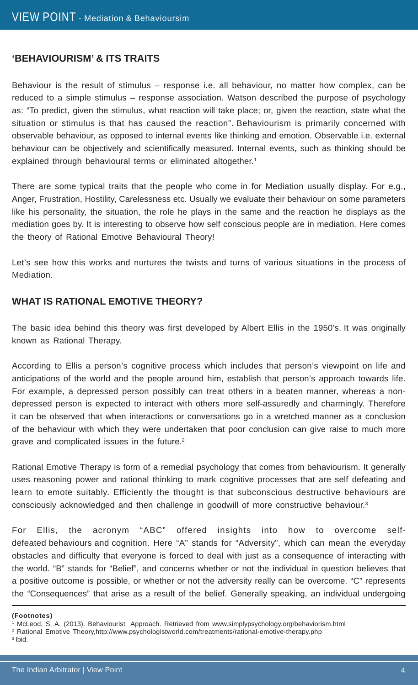### **'BEHAVIOURISM' & ITS TRAITS**

Behaviour is the result of stimulus – response i.e. all behaviour, no matter how complex, can be reduced to a simple stimulus – response association. Watson described the purpose of psychology as: "To predict, given the stimulus, what reaction will take place; or, given the reaction, state what the situation or stimulus is that has caused the reaction". Behaviourism is primarily concerned with observable behaviour, as opposed to internal events like thinking and emotion. Observable i.e. external behaviour can be objectively and scientifically measured. Internal events, such as thinking should be explained through behavioural terms or eliminated altogether.<sup>1</sup>

There are some typical traits that the people who come in for Mediation usually display. For e.g., Anger, Frustration, Hostility, Carelessness etc. Usually we evaluate their behaviour on some parameters like his personality, the situation, the role he plays in the same and the reaction he displays as the mediation goes by. It is interesting to observe how self conscious people are in mediation. Here comes the theory of Rational Emotive Behavioural Theory!

Let's see how this works and nurtures the twists and turns of various situations in the process of Mediation.

#### **WHAT IS RATIONAL EMOTIVE THEORY?**

The basic idea behind this theory was first developed by Albert Ellis in the 1950's. It was originally known as Rational Therapy.

According to Ellis a person's cognitive process which includes that person's viewpoint on life and anticipations of the world and the people around him, establish that person's approach towards life. For example, a depressed person possibly can treat others in a beaten manner, whereas a nondepressed person is expected to interact with others more self-assuredly and charmingly. Therefore it can be observed that when interactions or conversations go in a wretched manner as a conclusion of the behaviour with which they were undertaken that poor conclusion can give raise to much more grave and complicated issues in the future.<sup>2</sup>

Rational Emotive Therapy is form of a remedial psychology that comes from behaviourism. It generally uses reasoning power and rational thinking to mark cognitive processes that are self defeating and learn to emote suitably. Efficiently the thought is that subconscious destructive behaviours are consciously acknowledged and then challenge in goodwill of more constructive behaviour.3

For Ellis, the acronym "ABC" offered insights into how to overcome selfdefeated behaviours and cognition. Here "A" stands for "Adversity", which can mean the everyday obstacles and difficulty that everyone is forced to deal with just as a consequence of interacting with the world. "B" stands for "Belief", and concerns whether or not the individual in question believes that a positive outcome is possible, or whether or not the adversity really can be overcome. "C" represents the "Consequences" that arise as a result of the belief. Generally speaking, an individual undergoing

**(Footnotes)**

2 Rational Emotive Theory,http://www.psychologistworld.com/treatments/rational-emotive-therapy.php

<sup>1</sup> McLeod, S. A. (2013). Behaviourist Approach. Retrieved from www.simplypsychology.org/behaviorism.html

<sup>3</sup> Ibid.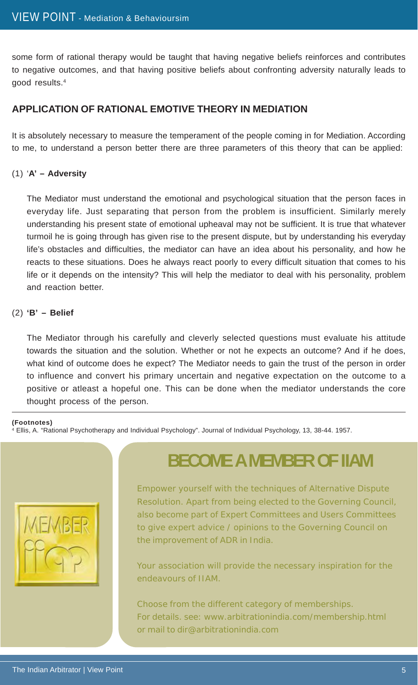some form of rational therapy would be taught that having negative beliefs reinforces and contributes to negative outcomes, and that having positive beliefs about confronting adversity naturally leads to good results.4

### **APPLICATION OF RATIONAL EMOTIVE THEORY IN MEDIATION**

It is absolutely necessary to measure the temperament of the people coming in for Mediation. According to me, to understand a person better there are three parameters of this theory that can be applied:

#### (1) '**A' – Adversity**

The Mediator must understand the emotional and psychological situation that the person faces in everyday life. Just separating that person from the problem is insufficient. Similarly merely understanding his present state of emotional upheaval may not be sufficient. It is true that whatever turmoil he is going through has given rise to the present dispute, but by understanding his everyday life's obstacles and difficulties, the mediator can have an idea about his personality, and how he reacts to these situations. Does he always react poorly to every difficult situation that comes to his life or it depends on the intensity? This will help the mediator to deal with his personality, problem and reaction better.

#### (2) **'B' – Belief**

The Mediator through his carefully and cleverly selected questions must evaluate his attitude towards the situation and the solution. Whether or not he expects an outcome? And if he does, what kind of outcome does he expect? The Mediator needs to gain the trust of the person in order to influence and convert his primary uncertain and negative expectation on the outcome to a positive or atleast a hopeful one. This can be done when the mediator understands the core thought process of the person.

#### **(Footnotes)**

4 Ellis, A. "Rational Psychotherapy and Individual Psychology". Journal of Individual Psychology, 13, 38-44. 1957.



### **BECOME A MEMBER OF IIAM**

Empower yourself with the techniques of Alternative Dispute Resolution. Apart from being elected to the Governing Council, also become part of Expert Committees and Users Committees to give expert advice / opinions to the Governing Council on the improvement of ADR in India.

Your association will provide the necessary inspiration for the endeavours of IIAM.

Choose from the different category of memberships. For details. see: www.arbitrationindia.com/membership.html or mail to dir@arbitrationindia.com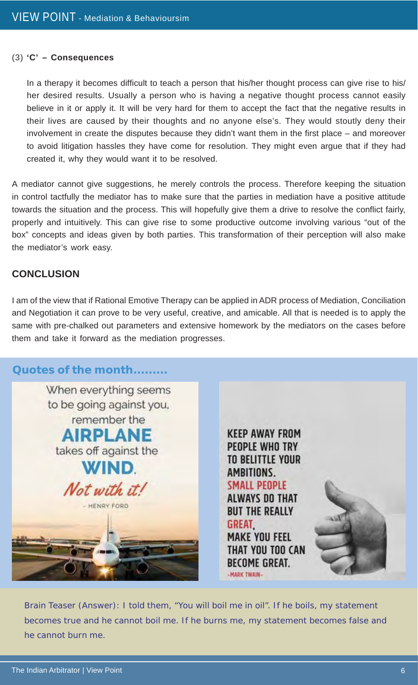#### (3) **'C' – Consequences**

In a therapy it becomes difficult to teach a person that his/her thought process can give rise to his/ her desired results. Usually a person who is having a negative thought process cannot easily believe in it or apply it. It will be very hard for them to accept the fact that the negative results in their lives are caused by their thoughts and no anyone else's. They would stoutly deny their involvement in create the disputes because they didn't want them in the first place – and moreover to avoid litigation hassles they have come for resolution. They might even argue that if they had created it, why they would want it to be resolved.

A mediator cannot give suggestions, he merely controls the process. Therefore keeping the situation in control tactfully the mediator has to make sure that the parties in mediation have a positive attitude towards the situation and the process. This will hopefully give them a drive to resolve the conflict fairly, properly and intuitively. This can give rise to some productive outcome involving various "out of the box" concepts and ideas given by both parties. This transformation of their perception will also make the mediator's work easy.

#### **CONCLUSION**

I am of the view that if Rational Emotive Therapy can be applied in ADR process of Mediation, Conciliation and Negotiation it can prove to be very useful, creative, and amicable. All that is needed is to apply the same with pre-chalked out parameters and extensive homework by the mediators on the cases before them and take it forward as the mediation progresses.



Brain Teaser (Answer): I told them, "You will boil me in oil". If he boils, my statement becomes true and he cannot boil me. If he burns me, my statement becomes false and he cannot burn me.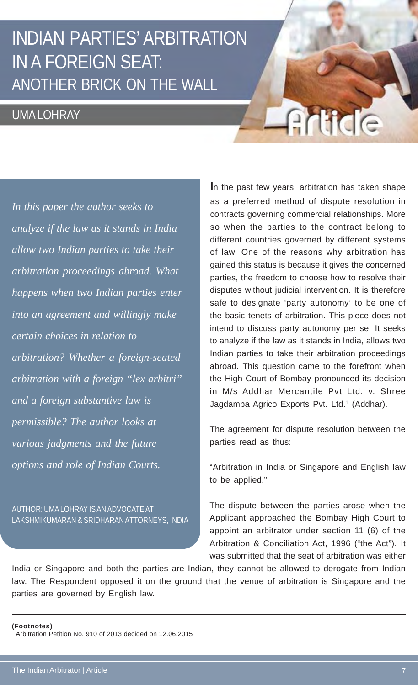## INDIAN PARTIES' ARBITRATION IN A FOREIGN SEAT: ANOTHER BRICK ON THE WALL

### UMA LOHRAY

*In this paper the author seeks to analyze if the law as it stands in India allow two Indian parties to take their arbitration proceedings abroad. What happens when two Indian parties enter into an agreement and willingly make certain choices in relation to arbitration? Whether a foreign-seated arbitration with a foreign "lex arbitri" and a foreign substantive law is permissible? The author looks at various judgments and the future options and role of Indian Courts.*

AUTHOR: UMA LOHRAY IS AN ADVOCATE AT LAKSHMIKUMARAN & SRIDHARAN ATTORNEYS, INDIA

**I**n the past few years, arbitration has taken shape as a preferred method of dispute resolution in contracts governing commercial relationships. More so when the parties to the contract belong to different countries governed by different systems of law. One of the reasons why arbitration has gained this status is because it gives the concerned parties, the freedom to choose how to resolve their disputes without judicial intervention. It is therefore safe to designate 'party autonomy' to be one of the basic tenets of arbitration. This piece does not intend to discuss party autonomy per se. It seeks to analyze if the law as it stands in India, allows two Indian parties to take their arbitration proceedings abroad. This question came to the forefront when the High Court of Bombay pronounced its decision in M/s Addhar Mercantile Pvt Ltd. v. Shree Jagdamba Agrico Exports Pvt. Ltd.<sup>1</sup> (Addhar).

Article

The agreement for dispute resolution between the parties read as thus:

"Arbitration in India or Singapore and English law to be applied."

The dispute between the parties arose when the Applicant approached the Bombay High Court to appoint an arbitrator under section 11 (6) of the Arbitration & Conciliation Act, 1996 ("the Act"). It was submitted that the seat of arbitration was either

India or Singapore and both the parties are Indian, they cannot be allowed to derogate from Indian law. The Respondent opposed it on the ground that the venue of arbitration is Singapore and the parties are governed by English law.

**(Footnotes)** 1 Arbitration Petition No. 910 of 2013 decided on 12.06.2015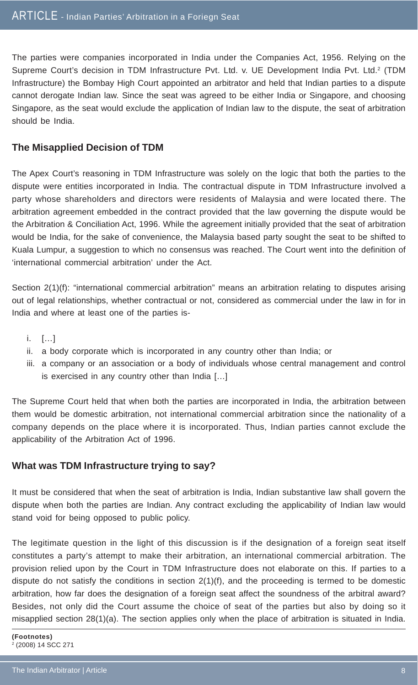The parties were companies incorporated in India under the Companies Act, 1956. Relying on the Supreme Court's decision in TDM Infrastructure Pvt. Ltd. v. UE Development India Pvt. Ltd.<sup>2</sup> (TDM Infrastructure) the Bombay High Court appointed an arbitrator and held that Indian parties to a dispute cannot derogate Indian law. Since the seat was agreed to be either India or Singapore, and choosing Singapore, as the seat would exclude the application of Indian law to the dispute, the seat of arbitration should be India.

### **The Misapplied Decision of TDM**

The Apex Court's reasoning in TDM Infrastructure was solely on the logic that both the parties to the dispute were entities incorporated in India. The contractual dispute in TDM Infrastructure involved a party whose shareholders and directors were residents of Malaysia and were located there. The arbitration agreement embedded in the contract provided that the law governing the dispute would be the Arbitration & Conciliation Act, 1996. While the agreement initially provided that the seat of arbitration would be India, for the sake of convenience, the Malaysia based party sought the seat to be shifted to Kuala Lumpur, a suggestion to which no consensus was reached. The Court went into the definition of 'international commercial arbitration' under the Act.

Section 2(1)(f): "international commercial arbitration" means an arbitration relating to disputes arising out of legal relationships, whether contractual or not, considered as commercial under the law in for in India and where at least one of the parties is-

- i. […]
- ii. a body corporate which is incorporated in any country other than India; or
- iii. a company or an association or a body of individuals whose central management and control is exercised in any country other than India […]

The Supreme Court held that when both the parties are incorporated in India, the arbitration between them would be domestic arbitration, not international commercial arbitration since the nationality of a company depends on the place where it is incorporated. Thus, Indian parties cannot exclude the applicability of the Arbitration Act of 1996.

### **What was TDM Infrastructure trying to say?**

It must be considered that when the seat of arbitration is India, Indian substantive law shall govern the dispute when both the parties are Indian. Any contract excluding the applicability of Indian law would stand void for being opposed to public policy.

The legitimate question in the light of this discussion is if the designation of a foreign seat itself constitutes a party's attempt to make their arbitration, an international commercial arbitration. The provision relied upon by the Court in TDM Infrastructure does not elaborate on this. If parties to a dispute do not satisfy the conditions in section 2(1)(f), and the proceeding is termed to be domestic arbitration, how far does the designation of a foreign seat affect the soundness of the arbitral award? Besides, not only did the Court assume the choice of seat of the parties but also by doing so it misapplied section 28(1)(a). The section applies only when the place of arbitration is situated in India.

**<sup>(</sup>Footnotes)** 2 (2008) 14 SCC 271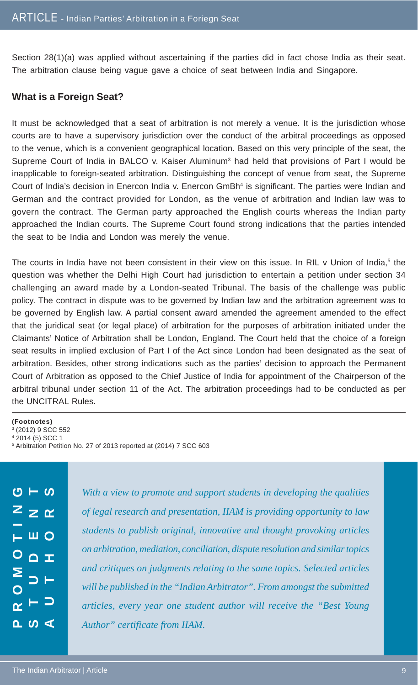Section 28(1)(a) was applied without ascertaining if the parties did in fact chose India as their seat. The arbitration clause being vague gave a choice of seat between India and Singapore.

#### **What is a Foreign Seat?**

It must be acknowledged that a seat of arbitration is not merely a venue. It is the jurisdiction whose courts are to have a supervisory jurisdiction over the conduct of the arbitral proceedings as opposed to the venue, which is a convenient geographical location. Based on this very principle of the seat, the Supreme Court of India in BALCO v. Kaiser Aluminum<sup>3</sup> had held that provisions of Part I would be inapplicable to foreign-seated arbitration. Distinguishing the concept of venue from seat, the Supreme Court of India's decision in Enercon India v. Enercon GmBh<sup>4</sup> is significant. The parties were Indian and German and the contract provided for London, as the venue of arbitration and Indian law was to govern the contract. The German party approached the English courts whereas the Indian party approached the Indian courts. The Supreme Court found strong indications that the parties intended the seat to be India and London was merely the venue.

The courts in India have not been consistent in their view on this issue. In RIL v Union of India,<sup>5</sup> the question was whether the Delhi High Court had jurisdiction to entertain a petition under section 34 challenging an award made by a London-seated Tribunal. The basis of the challenge was public policy. The contract in dispute was to be governed by Indian law and the arbitration agreement was to be governed by English law. A partial consent award amended the agreement amended to the effect that the juridical seat (or legal place) of arbitration for the purposes of arbitration initiated under the Claimants' Notice of Arbitration shall be London, England. The Court held that the choice of a foreign seat results in implied exclusion of Part I of the Act since London had been designated as the seat of arbitration. Besides, other strong indications such as the parties' decision to approach the Permanent Court of Arbitration as opposed to the Chief Justice of India for appointment of the Chairperson of the arbitral tribunal under section 11 of the Act. The arbitration proceedings had to be conducted as per the UNCITRAL Rules.

#### **(Footnotes)**

- 4 2014 (5) SCC 1
- 5 Arbitration Petition No. 27 of 2013 reported at (2014) 7 SCC 603

| With a view to promote and support students in developing the qualities        |
|--------------------------------------------------------------------------------|
| of legal research and presentation, IIAM is providing opportunity to law       |
| students to publish original, innovative and thought provoking articles        |
| on arbitration, mediation, conciliation, dispute resolution and similar topics |
| and critiques on judgments relating to the same topics. Selected articles      |
| will be published in the "Indian Arbitrator". From amongst the submitted       |
| articles, every year one student author will receive the "Best Young           |
| Author" certificate from IIAM.                                                 |
|                                                                                |

<sup>3</sup> (2012) 9 SCC 552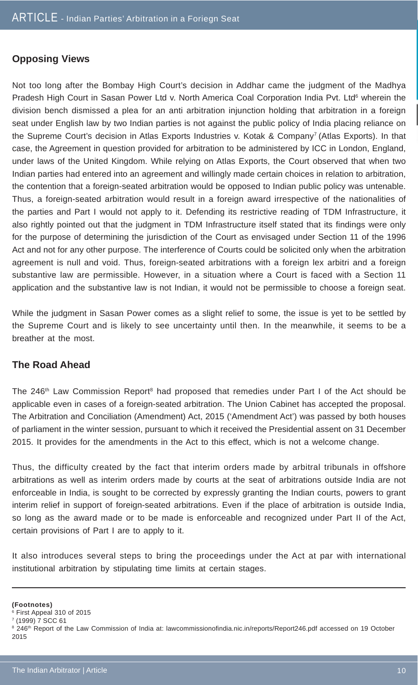### **Opposing Views**

Not too long after the Bombay High Court's decision in Addhar came the judgment of the Madhya Pradesh High Court in Sasan Power Ltd v. North America Coal Corporation India Pvt. Ltd<sup>6</sup> wherein the division bench dismissed a plea for an anti arbitration injunction holding that arbitration in a foreign seat under English law by two Indian parties is not against the public policy of India placing reliance on the Supreme Court's decision in Atlas Exports Industries v. Kotak & Company<sup>7</sup> (Atlas Exports). In that case, the Agreement in question provided for arbitration to be administered by ICC in London, England, under laws of the United Kingdom. While relying on Atlas Exports, the Court observed that when two Indian parties had entered into an agreement and willingly made certain choices in relation to arbitration, the contention that a foreign-seated arbitration would be opposed to Indian public policy was untenable. Thus, a foreign-seated arbitration would result in a foreign award irrespective of the nationalities of the parties and Part I would not apply to it. Defending its restrictive reading of TDM Infrastructure, it also rightly pointed out that the judgment in TDM Infrastructure itself stated that its findings were only for the purpose of determining the jurisdiction of the Court as envisaged under Section 11 of the 1996 Act and not for any other purpose. The interference of Courts could be solicited only when the arbitration agreement is null and void. Thus, foreign-seated arbitrations with a foreign lex arbitri and a foreign substantive law are permissible. However, in a situation where a Court is faced with a Section 11 application and the substantive law is not Indian, it would not be permissible to choose a foreign seat.

While the judgment in Sasan Power comes as a slight relief to some, the issue is yet to be settled by the Supreme Court and is likely to see uncertainty until then. In the meanwhile, it seems to be a breather at the most.

### **The Road Ahead**

The  $246<sup>th</sup>$  Law Commission Report<sup>8</sup> had proposed that remedies under Part I of the Act should be applicable even in cases of a foreign-seated arbitration. The Union Cabinet has accepted the proposal. The Arbitration and Conciliation (Amendment) Act, 2015 ('Amendment Act') was passed by both houses of parliament in the winter session, pursuant to which it received the Presidential assent on 31 December 2015. It provides for the amendments in the Act to this effect, which is not a welcome change.

Thus, the difficulty created by the fact that interim orders made by arbitral tribunals in offshore arbitrations as well as interim orders made by courts at the seat of arbitrations outside India are not enforceable in India, is sought to be corrected by expressly granting the Indian courts, powers to grant interim relief in support of foreign-seated arbitrations. Even if the place of arbitration is outside India, so long as the award made or to be made is enforceable and recognized under Part II of the Act, certain provisions of Part I are to apply to it.

It also introduces several steps to bring the proceedings under the Act at par with international institutional arbitration by stipulating time limits at certain stages.

**<sup>(</sup>Footnotes)**

<sup>6</sup> First Appeal 310 of 2015

<sup>7 (1999) 7</sup> SCC 61

<sup>8 246</sup>th Report of the Law Commission of India at: lawcommissionofindia.nic.in/reports/Report246.pdf accessed on 19 October 2015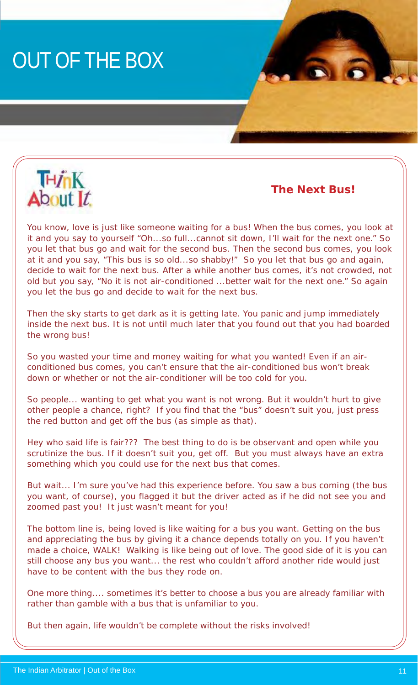# OUT OF THE BOX



 **The Next Bus!**

You know, love is just like someone waiting for a bus! When the bus comes, you look at it and you say to yourself "Oh...so full...cannot sit down, I'll wait for the next one." So you let that bus go and wait for the second bus. Then the second bus comes, you look at it and you say, "This bus is so old...so shabby!" So you let that bus go and again, decide to wait for the next bus. After a while another bus comes, it's not crowded, not old but you say, "No it is not air-conditioned ...better wait for the next one." So again you let the bus go and decide to wait for the next bus.

Then the sky starts to get dark as it is getting late. You panic and jump immediately inside the next bus. It is not until much later that you found out that you had boarded the wrong bus!

So you wasted your time and money waiting for what you wanted! Even if an airconditioned bus comes, you can't ensure that the air-conditioned bus won't break down or whether or not the air-conditioner will be too cold for you.

So people... wanting to get what you want is not wrong. But it wouldn't hurt to give other people a chance, right? If you find that the "bus" doesn't suit you, just press the red button and get off the bus (as simple as that).

Hey who said life is fair??? The best thing to do is be observant and open while you scrutinize the bus. If it doesn't suit you, get off. But you must always have an extra something which you could use for the next bus that comes.

But wait... I'm sure you've had this experience before. You saw a bus coming (the bus you want, of course), you flagged it but the driver acted as if he did not see you and zoomed past you! It just wasn't meant for you!

The bottom line is, being loved is like waiting for a bus you want. Getting on the bus and appreciating the bus by giving it a chance depends totally on you. If you haven't made a choice, WALK! Walking is like being out of love. The good side of it is you can still choose any bus you want... the rest who couldn't afford another ride would just have to be content with the bus they rode on.

One more thing.... sometimes it's better to choose a bus you are already familiar with rather than gamble with a bus that is unfamiliar to you.

But then again, life wouldn't be complete without the risks involved!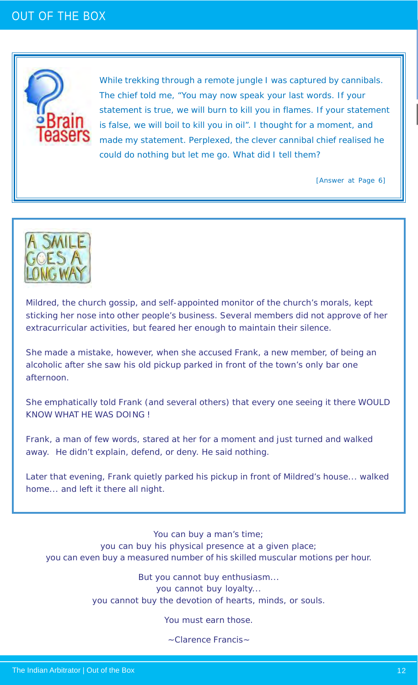

While trekking through a remote jungle I was captured by cannibals. The chief told me, "You may now speak your last words. If your statement is true, we will burn to kill you in flames. If your statement is false, we will boil to kill you in oil". I thought for a moment, and made my statement. Perplexed, the clever cannibal chief realised he could do nothing but let me go. What did I tell them?

[Answer at Page 6]



Mildred, the church gossip, and self-appointed monitor of the church's morals, kept sticking her nose into other people's business. Several members did not approve of her extracurricular activities, but feared her enough to maintain their silence.

She made a mistake, however, when she accused Frank, a new member, of being an alcoholic after she saw his old pickup parked in front of the town's only bar one afternoon.

She emphatically told Frank (and several others) that every one seeing it there WOULD KNOW WHAT HE WAS DOING !

Frank, a man of few words, stared at her for a moment and just turned and walked away. He didn't explain, defend, or deny. He said nothing.

Later that evening, Frank quietly parked his pickup in front of Mildred's house... walked home... and left it there all night.

You can buy a man's time; you can buy his physical presence at a given place; you can even buy a measured number of his skilled muscular motions per hour.

> But you cannot buy enthusiasm... you cannot buy loyalty... you cannot buy the devotion of hearts, minds, or souls.

> > You must earn those.

~Clarence Francis~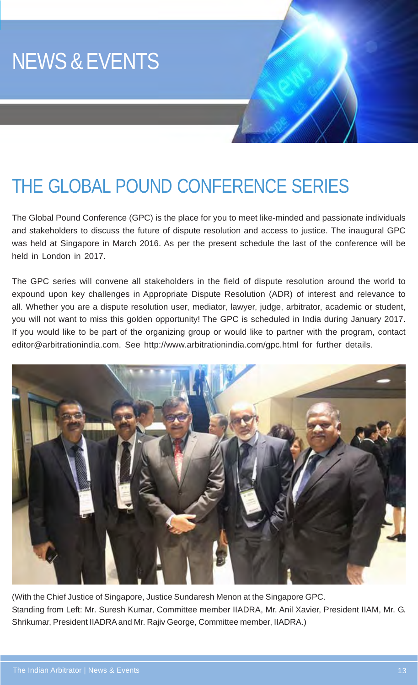

# THE GLOBAL POUND CONFERENCE SERIES

The Global Pound Conference (GPC) is the place for you to meet like-minded and passionate individuals and stakeholders to discuss the future of dispute resolution and access to justice. The inaugural GPC was held at Singapore in March 2016. As per the present schedule the last of the conference will be held in London in 2017.

The GPC series will convene all stakeholders in the field of dispute resolution around the world to expound upon key challenges in Appropriate Dispute Resolution (ADR) of interest and relevance to all. Whether you are a dispute resolution user, mediator, lawyer, judge, arbitrator, academic or student, you will not want to miss this golden opportunity! The GPC is scheduled in India during January 2017. If you would like to be part of the organizing group or would like to partner with the program, contact editor@arbitrationindia.com. See http://www.arbitrationindia.com/gpc.html for further details.



(With the Chief Justice of Singapore, Justice Sundaresh Menon at the Singapore GPC. Standing from Left: Mr. Suresh Kumar, Committee member IIADRA, Mr. Anil Xavier, President IIAM, Mr. G. Shrikumar, President IIADRA and Mr. Rajiv George, Committee member, IIADRA.)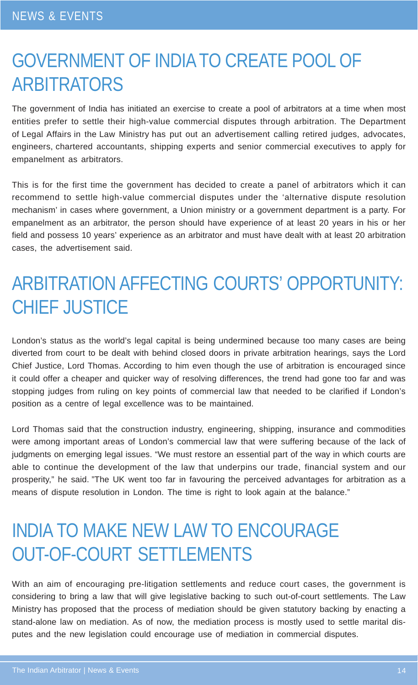# GOVERNMENT OF INDIA TO CREATE POOL OF ARBITRATORS

The government of India has initiated an exercise to create a pool of arbitrators at a time when most entities prefer to settle their high-value commercial disputes through arbitration. The Department of Legal Affairs in the Law Ministry has put out an advertisement calling retired judges, advocates, engineers, chartered accountants, shipping experts and senior commercial executives to apply for empanelment as arbitrators.

This is for the first time the government has decided to create a panel of arbitrators which it can recommend to settle high-value commercial disputes under the 'alternative dispute resolution mechanism' in cases where government, a Union ministry or a government department is a party. For empanelment as an arbitrator, the person should have experience of at least 20 years in his or her field and possess 10 years' experience as an arbitrator and must have dealt with at least 20 arbitration cases, the advertisement said.

## ARBITRATION AFFECTING COURTS' OPPORTUNITY: CHIEF JUSTICE

London's status as the world's legal capital is being undermined because too many cases are being diverted from court to be dealt with behind closed doors in private arbitration hearings, says the Lord Chief Justice, Lord Thomas. According to him even though the use of arbitration is encouraged since it could offer a cheaper and quicker way of resolving differences, the trend had gone too far and was stopping judges from ruling on key points of commercial law that needed to be clarified if London's position as a centre of legal excellence was to be maintained.

Lord Thomas said that the construction industry, engineering, shipping, insurance and commodities were among important areas of London's commercial law that were suffering because of the lack of judgments on emerging legal issues. "We must restore an essential part of the way in which courts are able to continue the development of the law that underpins our trade, financial system and our prosperity," he said. "The UK went too far in favouring the perceived advantages for arbitration as a means of dispute resolution in London. The time is right to look again at the balance."

## INDIA TO MAKE NEW LAW TO ENCOURAGE OUT-OF-COURT SETTLEMENTS

With an aim of encouraging pre-litigation settlements and reduce court cases, the government is considering to bring a law that will give legislative backing to such out-of-court settlements. The Law Ministry has proposed that the process of mediation should be given statutory backing by enacting a stand-alone law on mediation. As of now, the mediation process is mostly used to settle marital disputes and the new legislation could encourage use of mediation in commercial disputes.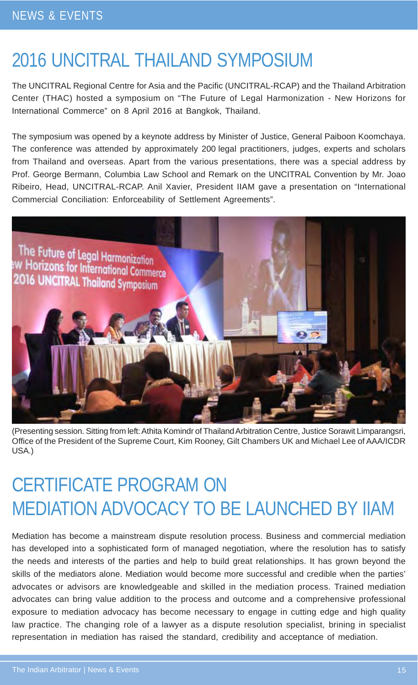# 2016 UNCITRAL THAILAND SYMPOSIUM

The UNCITRAL Regional Centre for Asia and the Pacific (UNCITRAL-RCAP) and the Thailand Arbitration Center (THAC) hosted a symposium on "The Future of Legal Harmonization - New Horizons for International Commerce" on 8 April 2016 at Bangkok, Thailand.

The symposium was opened by a keynote address by Minister of Justice, General Paiboon Koomchaya. The conference was attended by approximately 200 legal practitioners, judges, experts and scholars from Thailand and overseas. Apart from the various presentations, there was a special address by Prof. George Bermann, Columbia Law School and Remark on the UNCITRAL Convention by Mr. Joao Ribeiro, Head, UNCITRAL-RCAP. Anil Xavier, President IIAM gave a presentation on "International Commercial Conciliation: Enforceability of Settlement Agreements".



(Presenting session. Sitting from left: Athita Komindr of Thailand Arbitration Centre, Justice Sorawit Limparangsri, Office of the President of the Supreme Court, Kim Rooney, Gilt Chambers UK and Michael Lee of AAA/ICDR USA.)

## CERTIFICATE PROGRAM ON MEDIATION ADVOCACY TO BE LAUNCHED BY IIAM

Mediation has become a mainstream dispute resolution process. Business and commercial mediation has developed into a sophisticated form of managed negotiation, where the resolution has to satisfy the needs and interests of the parties and help to build great relationships. It has grown beyond the skills of the mediators alone. Mediation would become more successful and credible when the parties' advocates or advisors are knowledgeable and skilled in the mediation process. Trained mediation advocates can bring value addition to the process and outcome and a comprehensive professional exposure to mediation advocacy has become necessary to engage in cutting edge and high quality law practice. The changing role of a lawyer as a dispute resolution specialist, brining in specialist representation in mediation has raised the standard, credibility and acceptance of mediation.